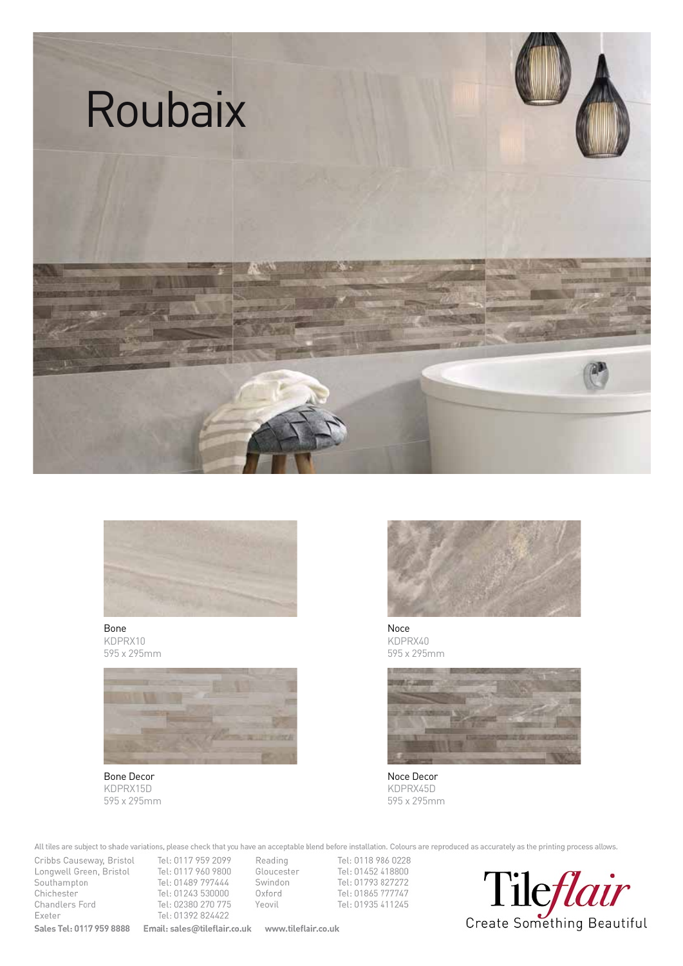



Bone KDPRX10 595 x 295mm



Bone Decor KDPRX15D 595 x 295mm



Noce KDPRX40 595 x 295mm



Noce Decor KDPRX45D 595 x 295mm

All tiles are subject to shade variations, please check that you have an acceptable blend before installation. Colours are reproduced as accurately as the printing process allows.

Cribbs Causeway, Bristol Tel: 0117 959 2099 Reading Congwell Green, Bristol Tel: 0117 960 9800<br>
Southampton Tel: 01489 797444 Southampton<br>
Chichester<br>
Tel: 01243 530000 Chichester<br>
Chandlers Ford<br>
Chandlers Ford<br>
Tel: 02380 270 775 Chandlers Ford Tel: 02380 270 775<br>Exeter Tel: 01392 824422 **Sales Tel: 0117 959 8888 Email: sales@tileflair.co.uk www.tileflair.co.uk** 

Tel: 01392 824422

Tel: 0118 986 0228 Exercise Tel: 01452 418800<br>
Swindon Tel: 01793 827272 Swindon Tel: 01793 827272<br>Oxford Tel: 01865 777747 Oxford<br>Yeovil Tel: 01865 777747<br>Tel: 01935 411245 Tel: 01935 411245

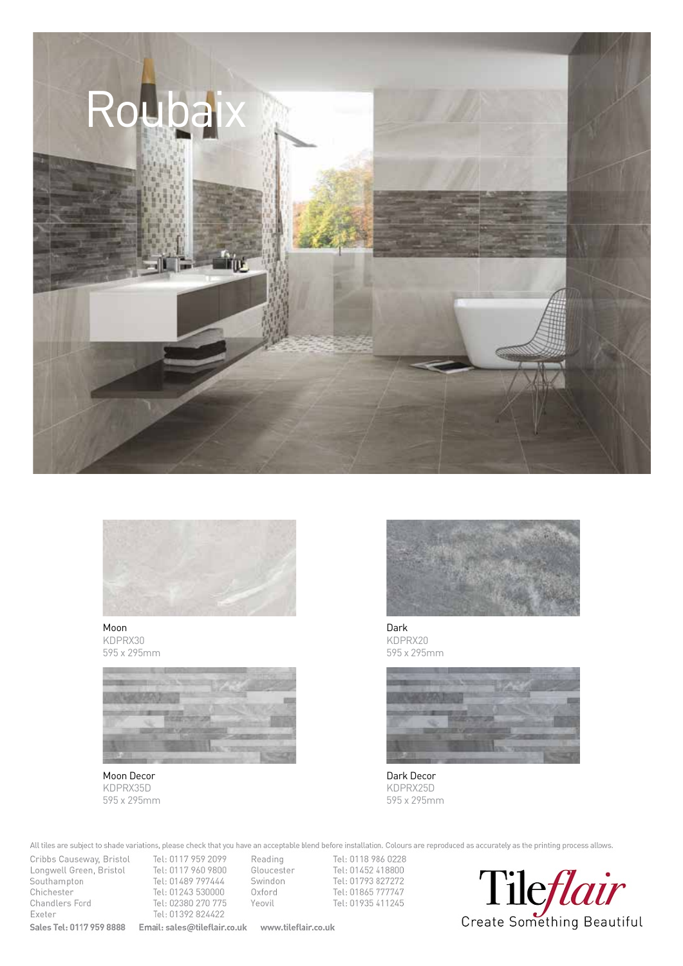



Moon KDPRX30 595 x 295mm



Moon Decor KDPRX35D 595 x 295mm



Dark KDPRX20 595 x 295mm



Dark Decor KDPRX25D 595 x 295mm

All tiles are subject to shade variations, please check that you have an acceptable blend before installation. Colours are reproduced as accurately as the printing process allows.<br>Cribbs Causeway, Bristol Tel: 0117 959 209

Congwell Green, Bristol Tel: 0117 960 9800<br>Couthampton Tel: 01489 797444 Pouthampton<br>
Chichester<br>
Tel: 01243 530000 Chichester Tel: 01243 530000<br>Chandlers Ford Tel: 02380 270 775 Chandlers Ford Tel: 02380 270 775<br>Exeter Tel: 01392 824422 Exeter Tel: 01392 824422<br>Sales Tel: 0117 959 8888 Email: sales@tileflair.

Cribbs Causeway, Bristol Tel: 0117 959 2099 Reading **Sales Tel: 0117 959 8888 Email: sales@tileflair.co.uk www.tileflair.co.uk** 

Exercise Tel: 01452 418800<br>
Swindon Tel: 01793 827272 Swindon Tel: 01793 827272<br>Oxford Tel: 01865 777747 Oxford Tel: 01865 777747<br>Yeovil Tel: 01935 411245 Tel: 01935 411245